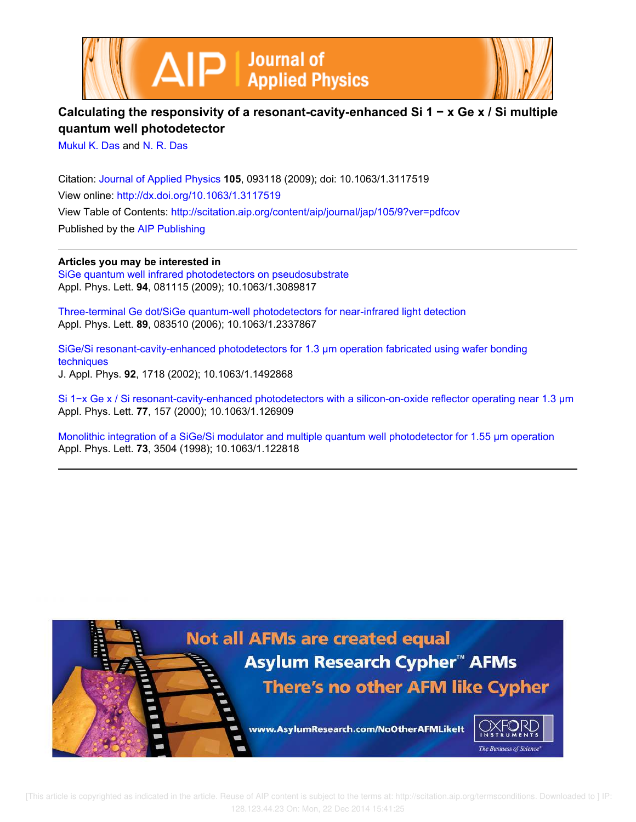



# **Calculating the responsivity of a resonant-cavity-enhanced Si 1 − x Ge x / Si multiple quantum well photodetector**

Mukul K. Das and N. R. Das

Citation: Journal of Applied Physics **105**, 093118 (2009); doi: 10.1063/1.3117519 View online: http://dx.doi.org/10.1063/1.3117519 View Table of Contents: http://scitation.aip.org/content/aip/journal/jap/105/9?ver=pdfcov Published by the AIP Publishing

**Articles you may be interested in** SiGe quantum well infrared photodetectors on pseudosubstrate Appl. Phys. Lett. **94**, 081115 (2009); 10.1063/1.3089817

Three-terminal Ge dot/SiGe quantum-well photodetectors for near-infrared light detection Appl. Phys. Lett. **89**, 083510 (2006); 10.1063/1.2337867

SiGe/Si resonant-cavity-enhanced photodetectors for 1.3 μm operation fabricated using wafer bonding techniques J. Appl. Phys. **92**, 1718 (2002); 10.1063/1.1492868

Si 1-x Ge x / Si resonant-cavity-enhanced photodetectors with a silicon-on-oxide reflector operating near 1.3 µm Appl. Phys. Lett. **77**, 157 (2000); 10.1063/1.126909

Monolithic integration of a SiGe/Si modulator and multiple quantum well photodetector for 1.55 μm operation Appl. Phys. Lett. **73**, 3504 (1998); 10.1063/1.122818



 [This article is copyrighted as indicated in the article. Reuse of AIP content is subject to the terms at: http://scitation.aip.org/termsconditions. Downloaded to ] IP: 128.123.44.23 On: Mon, 22 Dec 2014 15:41:25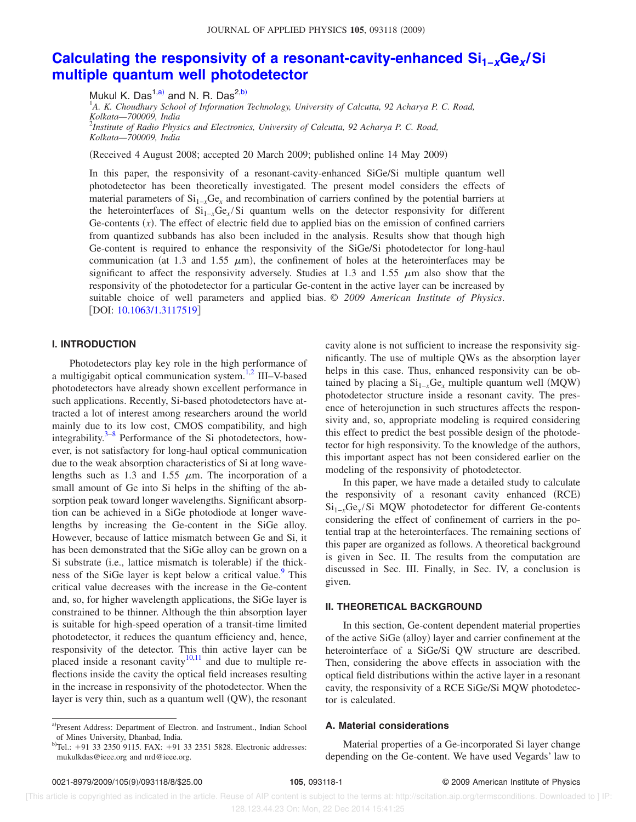# **Calculating the responsivity of a resonant-cavity-enhanced Si1−xGe<sup>x</sup> /Si multiple quantum well photodetector**

Mukul K. Das<sup>1,a)</sup> and N. R. Das<sup>2,b)</sup><br><sup>1</sup>A. K. Choudhury School of Information Technology, University of Calcutta, 92 Acharya P. C. Road, *Kolkata—700009, India* 2 *Institute of Radio Physics and Electronics, University of Calcutta, 92 Acharya P. C. Road, Kolkata—700009, India*

Received 4 August 2008; accepted 20 March 2009; published online 14 May 2009-

In this paper, the responsivity of a resonant-cavity-enhanced SiGe/Si multiple quantum well photodetector has been theoretically investigated. The present model considers the effects of material parameters of  $Si<sub>1-x</sub>Ge<sub>x</sub>$  and recombination of carriers confined by the potential barriers at the heterointerfaces of  $Si_{1-x}Ge_x/Si$  quantum wells on the detector responsivity for different Ge-contents (x). The effect of electric field due to applied bias on the emission of confined carriers from quantized subbands has also been included in the analysis. Results show that though high Ge-content is required to enhance the responsivity of the SiGe/Si photodetector for long-haul communication (at 1.3 and 1.55  $\mu$ m), the confinement of holes at the heterointerfaces may be significant to affect the responsivity adversely. Studies at 1.3 and 1.55  $\mu$ m also show that the responsivity of the photodetector for a particular Ge-content in the active layer can be increased by suitable choice of well parameters and applied bias. © *2009 American Institute of Physics*. [DOI: 10.1063/1.3117519]

## **I. INTRODUCTION**

Photodetectors play key role in the high performance of a multigigabit optical communication system.<sup>1,2</sup> III-V-based photodetectors have already shown excellent performance in such applications. Recently, Si-based photodetectors have attracted a lot of interest among researchers around the world mainly due to its low cost, CMOS compatibility, and high integrability. $3-8$  Performance of the Si photodetectors, however, is not satisfactory for long-haul optical communication due to the weak absorption characteristics of Si at long wavelengths such as 1.3 and 1.55  $\mu$ m. The incorporation of a small amount of Ge into Si helps in the shifting of the absorption peak toward longer wavelengths. Significant absorption can be achieved in a SiGe photodiode at longer wavelengths by increasing the Ge-content in the SiGe alloy. However, because of lattice mismatch between Ge and Si, it has been demonstrated that the SiGe alloy can be grown on a Si substrate (i.e., lattice mismatch is tolerable) if the thickness of the SiGe layer is kept below a critical value.<sup>9</sup> This critical value decreases with the increase in the Ge-content and, so, for higher wavelength applications, the SiGe layer is constrained to be thinner. Although the thin absorption layer is suitable for high-speed operation of a transit-time limited photodetector, it reduces the quantum efficiency and, hence, responsivity of the detector. This thin active layer can be placed inside a resonant cavity $10,11$  and due to multiple reflections inside the cavity the optical field increases resulting in the increase in responsivity of the photodetector. When the layer is very thin, such as a quantum well  $(QW)$ , the resonant

cavity alone is not sufficient to increase the responsivity significantly. The use of multiple QWs as the absorption layer helps in this case. Thus, enhanced responsivity can be obtained by placing a Si<sub>1−*x*</sub>Ge<sub>*x*</sub> multiple quantum well (MQW) photodetector structure inside a resonant cavity. The presence of heterojunction in such structures affects the responsivity and, so, appropriate modeling is required considering this effect to predict the best possible design of the photodetector for high responsivity. To the knowledge of the authors, this important aspect has not been considered earlier on the modeling of the responsivity of photodetector.

In this paper, we have made a detailed study to calculate the responsivity of a resonant cavity enhanced (RCE) Si1−*x*Ge*<sup>x</sup>* /Si MQW photodetector for different Ge-contents considering the effect of confinement of carriers in the potential trap at the heterointerfaces. The remaining sections of this paper are organized as follows. A theoretical background is given in Sec. II. The results from the computation are discussed in Sec. III. Finally, in Sec. IV, a conclusion is given.

## **II. THEORETICAL BACKGROUND**

In this section, Ge-content dependent material properties of the active SiGe (alloy) layer and carrier confinement at the heterointerface of a SiGe/Si QW structure are described. Then, considering the above effects in association with the optical field distributions within the active layer in a resonant cavity, the responsivity of a RCE SiGe/Si MQW photodetector is calculated.

# **A. Material considerations**

Material properties of a Ge-incorporated Si layer change depending on the Ge-content. We have used Vegards' law to

a)Present Address: Department of Electron. and Instrument., Indian School of Mines University, Dhanbad, India.

b)Tel.: +91 33 2350 9115. FAX: +91 33 2351 5828. Electronic addresses: mukulkdas@ieee.org and nrd@ieee.org.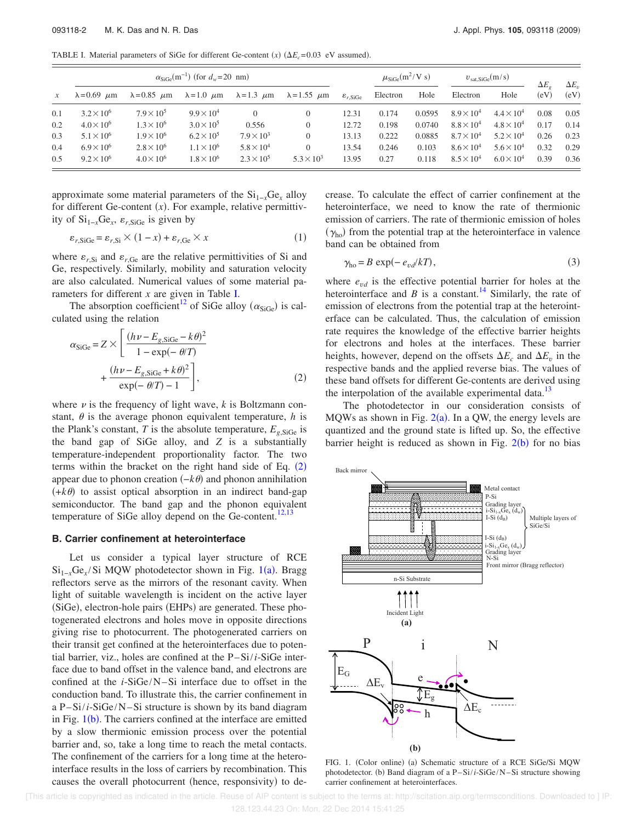TABLE I. Material parameters of SiGe for different Ge-content (x)  $(\Delta E_c = 0.03 \text{ eV}$  assumed).

approximate some material parameters of the Si<sub>1−*x*</sub>Ge<sub>*x*</sub> alloy for different Ge-content  $(x)$ . For example, relative permittivity of  $\mathrm{Si}_{1-x}\mathrm{Ge}_{x}$ ,  $\varepsilon_{r,\mathrm{SiGe}}$  is given by

$$
\varepsilon_{r,\text{SiGe}} = \varepsilon_{r,\text{Si}} \times (1-x) + \varepsilon_{r,\text{Ge}} \times x \tag{1}
$$

where  $\varepsilon_{r,Si}$  and  $\varepsilon_{r,Ge}$  are the relative permittivities of Si and Ge, respectively. Similarly, mobility and saturation velocity are also calculated. Numerical values of some material parameters for different *x* are given in Table I.

The absorption coefficient<sup>12</sup> of SiGe alloy ( $\alpha_{SiGe}$ ) is calculated using the relation

$$
\alpha_{\text{SiGe}} = Z \times \left[ \frac{(h\nu - E_{g,\text{SiGe}} - k\theta)^2}{1 - \exp(-\theta/T)} + \frac{(h\nu - E_{g,\text{SiGe}} + k\theta)^2}{\exp(-\theta/T) - 1} \right],
$$
\n(2)

where  $\nu$  is the frequency of light wave,  $k$  is Boltzmann constant,  $\theta$  is the average phonon equivalent temperature,  $h$  is the Plank's constant, *T* is the absolute temperature,  $E_{g,SiGe}$  is the band gap of SiGe alloy, and *Z* is a substantially temperature-independent proportionality factor. The two terms within the bracket on the right hand side of Eq.  $(2)$ appear due to phonon creation  $(-k\theta)$  and phonon annihilation  $(+k\theta)$  to assist optical absorption in an indirect band-gap semiconductor. The band gap and the phonon equivalent temperature of SiGe alloy depend on the Ge-content.<sup>12,13</sup>

#### **B. Carrier confinement at heterointerface**

Let us consider a typical layer structure of RCE Si<sub>1-x</sub>Ge<sub>x</sub>/Si MQW photodetector shown in Fig. 1(a). Bragg reflectors serve as the mirrors of the resonant cavity. When light of suitable wavelength is incident on the active layer (SiGe), electron-hole pairs (EHPs) are generated. These photogenerated electrons and holes move in opposite directions giving rise to photocurrent. The photogenerated carriers on their transit get confined at the heterointerfaces due to potential barrier, viz., holes are confined at the P-Si/*i*-SiGe interface due to band offset in the valence band, and electrons are confined at the *i*-SiGe/N-Si interface due to offset in the conduction band. To illustrate this, the carrier confinement in a P-Si/*i*-SiGe/N-Si structure is shown by its band diagram in Fig.  $1(b)$ . The carriers confined at the interface are emitted by a slow thermionic emission process over the potential barrier and, so, take a long time to reach the metal contacts. The confinement of the carriers for a long time at the heterointerface results in the loss of carriers by recombination. This causes the overall photocurrent (hence, responsivity) to decrease. To calculate the effect of carrier confinement at the heterointerface, we need to know the rate of thermionic emission of carriers. The rate of thermionic emission of holes  $(\gamma_{ho})$  from the potential trap at the heterointerface in valence band can be obtained from

$$
\gamma_{\rm ho} = B \, \exp(-\,e_{\nu d}/kT),\tag{3}
$$

where  $e_{vd}$  is the effective potential barrier for holes at the heterointerface and *B* is a constant.<sup>14</sup> Similarly, the rate of emission of electrons from the potential trap at the heterointerface can be calculated. Thus, the calculation of emission rate requires the knowledge of the effective barrier heights for electrons and holes at the interfaces. These barrier heights, however, depend on the offsets  $\Delta E_c$  and  $\Delta E_v$  in the respective bands and the applied reverse bias. The values of these band offsets for different Ge-contents are derived using the interpolation of the available experimental data.<sup>13</sup>

The photodetector in our consideration consists of MQWs as shown in Fig.  $2(a)$ . In a QW, the energy levels are quantized and the ground state is lifted up. So, the effective barrier height is reduced as shown in Fig.  $2(b)$  for no bias



FIG. 1. (Color online) (a) Schematic structure of a RCE SiGe/Si MQW photodetector. (b) Band diagram of a P-Si/*i*-SiGe/N-Si structure showing carrier confinement at heterointerfaces.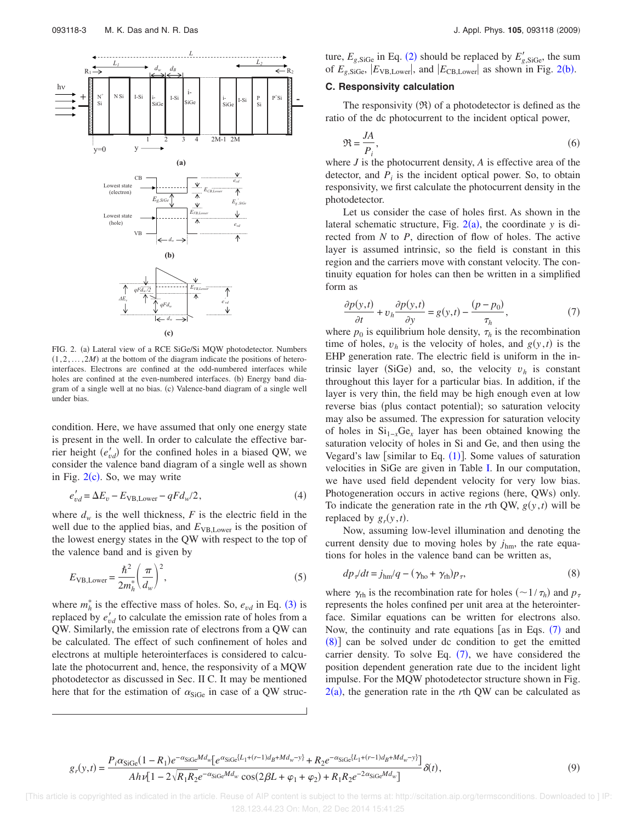

FIG. 2. (a) Lateral view of a RCE SiGe/Si MQW photodetector. Numbers  $(1, 2, \ldots, 2M)$  at the bottom of the diagram indicate the positions of heterointerfaces. Electrons are confined at the odd-numbered interfaces while holes are confined at the even-numbered interfaces. (b) Energy band diagram of a single well at no bias. (c) Valence-band diagram of a single well under bias.

condition. Here, we have assumed that only one energy state is present in the well. In order to calculate the effective barrier height  $(e'_{vd})$  for the confined holes in a biased QW, we consider the valence band diagram of a single well as shown in Fig.  $2(c)$ . So, we may write

$$
e'_{vd} = \Delta E_v - E_{\text{VB}, \text{Lower}} - qF d_w / 2, \qquad (4)
$$

where  $d_w$  is the well thickness,  $F$  is the electric field in the well due to the applied bias, and  $E_{VB,Lower}$  is the position of the lowest energy states in the QW with respect to the top of the valence band and is given by

$$
E_{\text{VB},\text{Lower}} = \frac{\hbar^2}{2m_h^*} \left(\frac{\pi}{d_w}\right)^2,\tag{5}
$$

where  $m_h^*$  is the effective mass of holes. So,  $e_{vd}$  in Eq. (3) is replaced by  $e'_{vd}$  to calculate the emission rate of holes from a QW. Similarly, the emission rate of electrons from a QW can be calculated. The effect of such confinement of holes and electrons at multiple heterointerfaces is considered to calculate the photocurrent and, hence, the responsivity of a MQW photodetector as discussed in Sec. II C. It may be mentioned here that for the estimation of  $\alpha_{SiGe}$  in case of a QW structure,  $E_{g, \text{SiGe}}$  in Eq. (2) should be replaced by  $E'_{g, \text{SiGe}}$ , the sum of  $E_{g, \text{SiGe}}$ ,  $|E_{\text{VB,Lower}}|$ , and  $|E_{\text{CB,Lower}}|$  as shown in Fig. 2(b).

# **C. Responsivity calculation**

The responsivity  $(\Re)$  of a photodetector is defined as the ratio of the dc photocurrent to the incident optical power,

$$
\mathfrak{R} = \frac{JA}{P_i},\tag{6}
$$

where *J* is the photocurrent density, *A* is effective area of the detector, and  $P_i$  is the incident optical power. So, to obtain responsivity, we first calculate the photocurrent density in the photodetector.

Let us consider the case of holes first. As shown in the lateral schematic structure, Fig.  $2(a)$ , the coordinate *y* is directed from *N* to *P*, direction of flow of holes. The active layer is assumed intrinsic, so the field is constant in this region and the carriers move with constant velocity. The continuity equation for holes can then be written in a simplified form as

$$
\frac{\partial p(y,t)}{\partial t} + v_h \frac{\partial p(y,t)}{\partial y} = g(y,t) - \frac{(p-p_0)}{\tau_h},\tag{7}
$$

where  $p_0$  is equilibrium hole density,  $\tau_h$  is the recombination time of holes,  $v_h$  is the velocity of holes, and  $g(y, t)$  is the EHP generation rate. The electric field is uniform in the intrinsic layer (SiGe) and, so, the velocity  $v_h$  is constant throughout this layer for a particular bias. In addition, if the layer is very thin, the field may be high enough even at low reverse bias (plus contact potential); so saturation velocity may also be assumed. The expression for saturation velocity of holes in Si1−*x*Ge*<sup>x</sup>* layer has been obtained knowing the saturation velocity of holes in Si and Ge, and then using the Vegard's law [similar to Eq.  $(1)$ ]. Some values of saturation velocities in SiGe are given in Table I. In our computation, we have used field dependent velocity for very low bias. Photogeneration occurs in active regions (here, QWs) only. To indicate the generation rate in the *r*th QW,  $g(y, t)$  will be replaced by  $g_r(y,t)$ .

Now, assuming low-level illumination and denoting the current density due to moving holes by  $j_{hm}$ , the rate equations for holes in the valence band can be written as,

$$
dp_{\tau}/dt = j_{\rm hm}/q - (\gamma_{\rm ho} + \gamma_{\rm rh})p_{\tau},\tag{8}
$$

where  $\gamma_{\text{rh}}$  is the recombination rate for holes  $(\sim 1/\tau_h)$  and  $p_\tau$ represents the holes confined per unit area at the heterointerface. Similar equations can be written for electrons also. Now, the continuity and rate equations [as in Eqs.  $(7)$  and (8)] can be solved under dc condition to get the emitted carrier density. To solve Eq.  $(7)$ , we have considered the position dependent generation rate due to the incident light impulse. For the MQW photodetector structure shown in Fig.  $2(a)$ , the generation rate in the *r*th QW can be calculated as

$$
g_r(y,t) = \frac{P_i \alpha_{\text{SiGe}} (1 - R_1) e^{-\alpha_{\text{SiGe}} M d_w} [e^{\alpha_{\text{SiGe}} \{L_1 + (r-1) d_B + M d_w - y\}} + R_2 e^{-\alpha_{\text{SiGe}} \{L_1 + (r-1) d_B + M d_w - y\}}]}{Ah\nu [1 - 2\sqrt{R_1 R_2} e^{-\alpha_{\text{SiGe}} M d_w} \cos(2\beta L + \varphi_1 + \varphi_2) + R_1 R_2 e^{-2\alpha_{\text{SiGe}} M d_w}]} \delta(t),
$$
\n
$$
(9)
$$

 [This article is copyrighted as indicated in the article. Reuse of AIP content is subject to the terms at: http://scitation.aip.org/termsconditions. Downloaded to ] IP: 128.123.44.23 On: Mon, 22 Dec 2014 15:41:25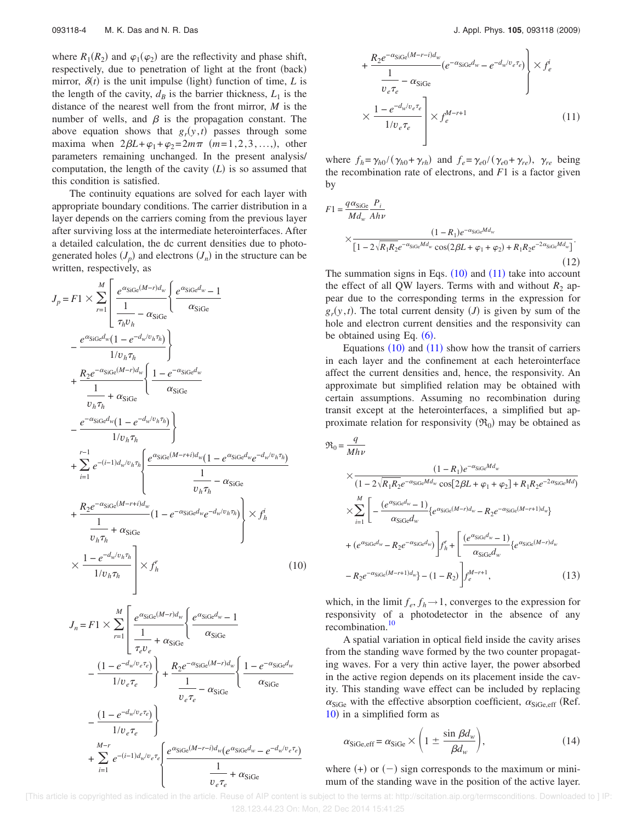where  $R_1(R_2)$  and  $\varphi_1(\varphi_2)$  are the reflectivity and phase shift, respectively, due to penetration of light at the front (back) mirror,  $\delta(t)$  is the unit impulse (light) function of time, *L* is the length of the cavity,  $d_B$  is the barrier thickness,  $L_1$  is the distance of the nearest well from the front mirror, *M* is the number of wells, and  $\beta$  is the propagation constant. The above equation shows that  $g_r(y,t)$  passes through some maxima when  $2\beta L + \varphi_1 + \varphi_2 = 2m\pi$  (*m*=1,2,3,...,), other parameters remaining unchanged. In the present analysis/ computation, the length of the cavity  $(L)$  is so assumed that this condition is satisfied.

The continuity equations are solved for each layer with appropriate boundary conditions. The carrier distribution in a layer depends on the carriers coming from the previous layer after surviving loss at the intermediate heterointerfaces. After a detailed calculation, the dc current densities due to photogenerated holes  $(J_p)$  and electrons  $(J_n)$  in the structure can be written, respectively, as

$$
J_{p} = F1 \times \sum_{r=1}^{M} \left[ \frac{e^{\alpha_{\text{SiGe}}(M-r)d_{w}}}{1} \left\{ \frac{e^{\alpha_{\text{SiGe}}d_{w}} - 1}{\alpha_{\text{SiGe}}} \right\} \right]
$$

$$
- \frac{e^{\alpha_{\text{SiGe}}d_{w}}(1 - e^{-d_{w}v_{h}\tau_{h}})}{1/v_{h}\tau_{h}} \right\}
$$

$$
+ \frac{R_{2}e^{-\alpha_{\text{SiGe}}(M-r)d_{w}}}{\frac{1}{v_{h}\tau_{h}}} \left\{ \frac{1 - e^{-\alpha_{\text{SiGe}}d_{w}}}{\alpha_{\text{SiGe}}} \right\}
$$

$$
- \frac{e^{-\alpha_{\text{SiGe}}d_{w}}(1 - e^{-d_{w}/v_{h}\tau_{h}})}{1/v_{h}\tau_{h}} \right\}
$$

$$
+ \sum_{i=1}^{r-1} e^{-(i-1)d_{w}/v_{h}\tau_{h}} \left\{ \frac{e^{\alpha_{\text{SiGe}}(M-r+i)d_{w}}(1 - e^{\alpha_{\text{SiGe}}d_{w}}e^{-d_{w}/v_{h}\tau_{h}})}{\frac{1}{v_{h}\tau_{h}}} - \alpha_{\text{SiGe}} \right\}
$$

$$
+ \frac{R_{2}e^{-\alpha_{\text{SiGe}}(M-r+i)d_{w}}(1 - e^{-\alpha_{\text{SiGe}}d_{w}}e^{-d_{w}/v_{h}\tau_{h}})}{\frac{1}{v_{h}\tau_{h}}} \times f_{h}^{i}
$$

$$
\times \frac{1 - e^{-d_{w}/v_{h}\tau_{h}}}{1/v_{h}\tau_{h}} \times f_{h}^{r}
$$
(10)

$$
J_n = F1 \times \sum_{r=1}^{M} \left[ \frac{e^{\alpha_{\text{SiGe}}(M-r)d_w}}{1} \left\{ \frac{e^{\alpha_{\text{SiGe}}d_w} - 1}{\alpha_{\text{SiGe}}} \right\} \right]
$$

$$
- \frac{(1 - e^{-d_w/v_e \tau_e})}{1/v_e \tau_e} + \frac{R_2 e^{-\alpha_{\text{SiGe}}(M-r)d_w}}{1} \left\{ \frac{1 - e^{-\alpha_{\text{SiGe}}d_w}}{\alpha_{\text{SiGe}}} \right\}
$$

$$
- \frac{(1 - e^{-d_w/v_e \tau_e})}{1/v_e \tau_e} \left\{ \frac{1}{\alpha_{\text{SiGe}}} \right\}
$$

$$
+ \sum_{i=1}^{M-r} e^{-(i-1)d_w/v_e \tau_e} \left\{ \frac{e^{\alpha_{\text{SiGe}}(M-r-i)d_w}(e^{\alpha_{\text{SiGe}}d_w} - e^{-d_w/v_e \tau_e})}{\frac{1}{v_e \tau_e} + \alpha_{\text{SiGe}}} \right\}
$$

$$
+\frac{R_2e^{-\alpha_{\text{SiGe}}(M-r-i)d_w}}{\frac{1}{v_e\tau_e} - \alpha_{\text{SiGe}}}(e^{-\alpha_{\text{SiGe}}d_w} - e^{-d_w/v_e\tau_e})\n\times \frac{1 - e^{-d_w/v_e\tau_e}}{1/v_e\tau_e}\n\times f_e^{M-r+1}
$$
\n(11)

where  $f_h = \gamma_{h0} / (\gamma_{h0} + \gamma_{rh})$  and  $f_e = \gamma_{e0} / (\gamma_{e0} + \gamma_{re}), \gamma_{re}$  being the recombination rate of electrons, and *F*1 is a factor given by

$$
F1 = \frac{q\alpha_{\text{SiGe}}}{Md_w A h\nu} \times \frac{(1 - R_1)e^{-\alpha_{\text{SiGe}}Md_w}}{[1 - 2\sqrt{R_1R_2}e^{-\alpha_{\text{SiGe}}Md_w}\cos(2\beta L + \varphi_1 + \varphi_2) + R_1R_2e^{-2\alpha_{\text{SiGe}}Md_w}]}. \tag{12}
$$

The summation signs in Eqs.  $(10)$  and  $(11)$  take into account the effect of all QW layers. Terms with and without  $R_2$  appear due to the corresponding terms in the expression for  $g_r(y, t)$ . The total current density *(J)* is given by sum of the hole and electron current densities and the responsivity can be obtained using Eq.  $(6)$ .

Equations  $(10)$  and  $(11)$  show how the transit of carriers in each layer and the confinement at each heterointerface affect the current densities and, hence, the responsivity. An approximate but simplified relation may be obtained with certain assumptions. Assuming no recombination during transit except at the heterointerfaces, a simplified but approximate relation for responsivity  $(\Re_0)$  may be obtained as

$$
_{0} = \frac{q}{Mh\nu}
$$
\n
$$
\times \frac{(1 - R_{1})e^{-\alpha_{\text{SiGe}}Md_{w}}}{(1 - 2\sqrt{R_{1}R_{2}}e^{-\alpha_{\text{SiGe}}Md_{w}}\cos[2\beta L + \varphi_{1} + \varphi_{2}] + R_{1}R_{2}e^{-2\alpha_{\text{SiGe}}Md})}
$$
\n
$$
\times \sum_{i=1}^{M} \left[ -\frac{(e^{\alpha_{\text{SiGe}}d_{w}} - 1)}{\alpha_{\text{SiGe}}d_{w}} \{e^{\alpha_{\text{SiGe}}(M-r)d_{w}} - R_{2}e^{-\alpha_{\text{SiGe}}(M-r+1)d_{w}}\}
$$
\n
$$
+ (e^{\alpha_{\text{SiGe}}d_{w}} - R_{2}e^{-\alpha_{\text{SiGe}}d_{w}}) \right] f_{h}^{r} + \left[ \frac{(e^{\alpha_{\text{SiGe}}d_{w}} - 1)}{\alpha_{\text{SiGe}}d_{w}} \{e^{\alpha_{\text{SiGe}}(M-r)d_{w}} - R_{2}e^{-\alpha_{\text{SiGe}}(M-r+1)d_{w}}\} - (1 - R_{2}) \right] f_{e}^{M-r+1}, \qquad (13)
$$

which, in the limit  $f_e, f_h \rightarrow 1$ , converges to the expression for responsivity of a photodetector in the absence of any recombination.<sup>10</sup>

A spatial variation in optical field inside the cavity arises from the standing wave formed by the two counter propagating waves. For a very thin active layer, the power absorbed in the active region depends on its placement inside the cavity. This standing wave effect can be included by replacing  $\alpha_{\text{SiGe}}$  with the effective absorption coefficient,  $\alpha_{\text{SiGe,eff}}$  (Ref. 10) in a simplified form as

$$
\alpha_{\text{SiGe,eff}} = \alpha_{\text{SiGe}} \times \left(1 \pm \frac{\sin \beta d_w}{\beta d_w}\right),\tag{14}
$$

where  $(+)$  or  $(-)$  sign corresponds to the maximum or minimum of the standing wave in the position of the active layer.

 [This article is copyrighted as indicated in the article. Reuse of AIP content is subject to the terms at: http://scitation.aip.org/termsconditions. Downloaded to ] IP: 128.123.44.23 On: Mon, 22 Dec 2014 15:41:25

 $\mathfrak{R}$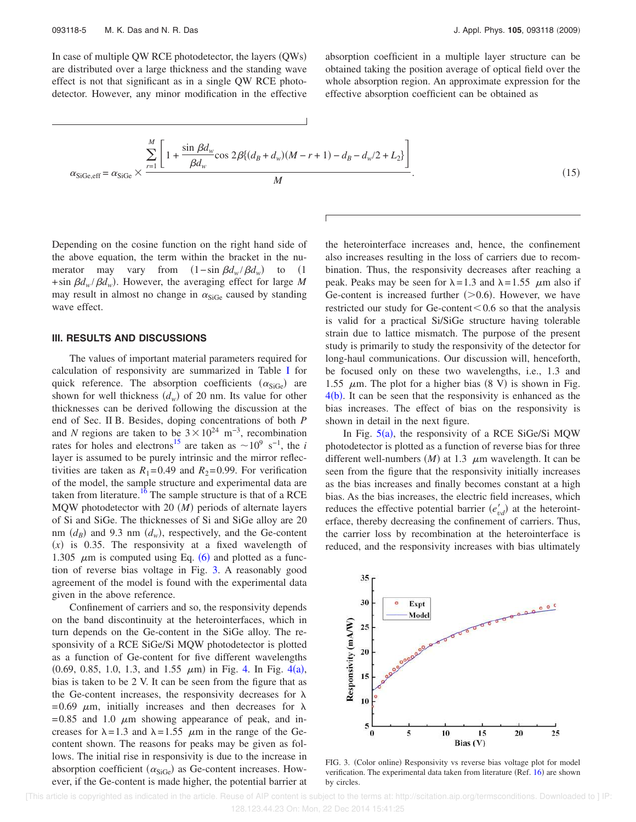In case of multiple QW RCE photodetector, the layers (QWs) are distributed over a large thickness and the standing wave effect is not that significant as in a single QW RCE photodetector. However, any minor modification in the effective absorption coefficient in a multiple layer structure can be obtained taking the position average of optical field over the whole absorption region. An approximate expression for the effective absorption coefficient can be obtained as

$$
\alpha_{\text{SiGe,eff}} = \alpha_{\text{SiGe}} \times \frac{\sum_{r=1}^{M} \left[ 1 + \frac{\sin \beta d_w}{\beta d_w} \cos 2\beta \{ (d_B + d_w)(M - r + 1) - d_B - d_w/2 + L_2 \} \right]}{M} \tag{15}
$$

Depending on the cosine function on the right hand side of the above equation, the term within the bracket in the numerator may vary from  $(1 - \sin \beta d_w / \beta d_w)$ to  $(1)$  $+\sin \beta d_w/\beta d_w$ ). However, the averaging effect for large M may result in almost no change in  $\alpha_{SiGe}$  caused by standing wave effect.

#### **III. RESULTS AND DISCUSSIONS**

The values of important material parameters required for calculation of responsivity are summarized in Table I for quick reference. The absorption coefficients  $(\alpha_{SiGe})$  are shown for well thickness  $(d_w)$  of 20 nm. Its value for other thicknesses can be derived following the discussion at the end of Sec. II B. Besides, doping concentrations of both *P* and *N* regions are taken to be  $3 \times 10^{24}$  m<sup>-3</sup>, recombination rates for holes and electrons<sup>15</sup> are taken as  $\sim 10^9$  s<sup>-1</sup>, the *i* layer is assumed to be purely intrinsic and the mirror reflectivities are taken as  $R_1 = 0.49$  and  $R_2 = 0.99$ . For verification of the model, the sample structure and experimental data are taken from literature.<sup>16</sup> The sample structure is that of a RCE MQW photodetector with 20 (*M*) periods of alternate layers of Si and SiGe. The thicknesses of Si and SiGe alloy are 20 nm  $(d_B)$  and 9.3 nm  $(d_w)$ , respectively, and the Ge-content  $(x)$  is 0.35. The responsivity at a fixed wavelength of 1.305  $\mu$ m is computed using Eq. (6) and plotted as a function of reverse bias voltage in Fig. 3. A reasonably good agreement of the model is found with the experimental data given in the above reference.

Confinement of carriers and so, the responsivity depends on the band discontinuity at the heterointerfaces, which in turn depends on the Ge-content in the SiGe alloy. The responsivity of a RCE SiGe/Si MQW photodetector is plotted as a function of Ge-content for five different wavelengths  $(0.69, 0.85, 1.0, 1.3, \text{ and } 1.55 \mu m)$  in Fig. 4. In Fig. 4(a), bias is taken to be 2 V. It can be seen from the figure that as the Ge-content increases, the responsivity decreases for  $\lambda$ = 0.69  $\mu$ m, initially increases and then decreases for  $\lambda$  $= 0.85$  and 1.0  $\mu$ m showing appearance of peak, and increases for  $\lambda = 1.3$  and  $\lambda = 1.55$   $\mu$ m in the range of the Gecontent shown. The reasons for peaks may be given as follows. The initial rise in responsivity is due to the increase in absorption coefficient  $(\alpha_{SiGe})$  as Ge-content increases. However, if the Ge-content is made higher, the potential barrier at the heterointerface increases and, hence, the confinement also increases resulting in the loss of carriers due to recombination. Thus, the responsivity decreases after reaching a peak. Peaks may be seen for  $\lambda = 1.3$  and  $\lambda = 1.55$   $\mu$ m also if Ge-content is increased further  $(>0.6)$ . However, we have restricted our study for Ge-content $< 0.6$  so that the analysis is valid for a practical Si/SiGe structure having tolerable strain due to lattice mismatch. The purpose of the present study is primarily to study the responsivity of the detector for long-haul communications. Our discussion will, henceforth, be focused only on these two wavelengths, i.e., 1.3 and 1.55  $\mu$ m. The plot for a higher bias (8 V) is shown in Fig.  $4(b)$ . It can be seen that the responsivity is enhanced as the bias increases. The effect of bias on the responsivity is shown in detail in the next figure.

In Fig.  $5(a)$ , the responsivity of a RCE SiGe/Si MQW photodetector is plotted as a function of reverse bias for three different well-numbers  $(M)$  at 1.3  $\mu$ m wavelength. It can be seen from the figure that the responsivity initially increases as the bias increases and finally becomes constant at a high bias. As the bias increases, the electric field increases, which reduces the effective potential barrier  $(e'_{vd})$  at the heterointerface, thereby decreasing the confinement of carriers. Thus, the carrier loss by recombination at the heterointerface is reduced, and the responsivity increases with bias ultimately



FIG. 3. (Color online) Responsivity vs reverse bias voltage plot for model verification. The experimental data taken from literature (Ref. 16) are shown by circles.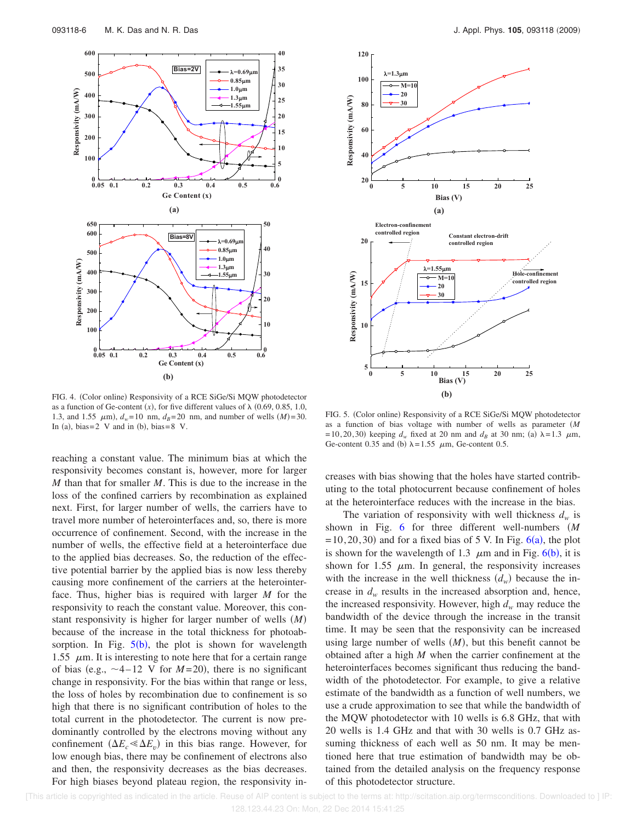

FIG. 4. (Color online) Responsivity of a RCE SiGe/Si MQW photodetector as a function of Ge-content  $(x)$ , for five different values of  $\lambda$  (0.69, 0.85, 1.0, 1.3, and 1.55  $\mu$ m),  $d_w = 10$  nm,  $d_B = 20$  nm, and number of wells *(M)*=30. In (a), bias =  $2 \text{ V}$  and in (b), bias =  $8 \text{ V}$ .

reaching a constant value. The minimum bias at which the responsivity becomes constant is, however, more for larger *M* than that for smaller *M*. This is due to the increase in the loss of the confined carriers by recombination as explained next. First, for larger number of wells, the carriers have to travel more number of heterointerfaces and, so, there is more occurrence of confinement. Second, with the increase in the number of wells, the effective field at a heterointerface due to the applied bias decreases. So, the reduction of the effective potential barrier by the applied bias is now less thereby causing more confinement of the carriers at the heterointerface. Thus, higher bias is required with larger *M* for the responsivity to reach the constant value. Moreover, this constant responsivity is higher for larger number of wells *M* because of the increase in the total thickness for photoabsorption. In Fig.  $5(b)$ , the plot is shown for wavelength 1.55  $\mu$ m. It is interesting to note here that for a certain range of bias (e.g.,  $\sim$ 4-12 V for *M*=20), there is no significant change in responsivity. For the bias within that range or less, the loss of holes by recombination due to confinement is so high that there is no significant contribution of holes to the total current in the photodetector. The current is now predominantly controlled by the electrons moving without any confinement  $(\Delta E_c \ll \Delta E_v)$  in this bias range. However, for low enough bias, there may be confinement of electrons also and then, the responsivity decreases as the bias decreases. For high biases beyond plateau region, the responsivity in-



FIG. 5. (Color online) Responsivity of a RCE SiGe/Si MQW photodetector as a function of bias voltage with number of wells as parameter *M*  $= 10, 20, 30$  keeping  $d_w$  fixed at 20 nm and  $d_B$  at 30 nm; (a)  $\lambda = 1.3$   $\mu$ m, Ge-content 0.35 and (b)  $\lambda = 1.55$   $\mu$ m, Ge-content 0.5.

creases with bias showing that the holes have started contributing to the total photocurrent because confinement of holes at the heterointerface reduces with the increase in the bias.

The variation of responsivity with well thickness  $d_w$  is shown in Fig. 6 for three different well-numbers *M*  $= 10, 20, 30$  and for a fixed bias of 5 V. In Fig.  $6(a)$ , the plot is shown for the wavelength of 1.3  $\mu$ m and in Fig. 6(b), it is shown for 1.55  $\mu$ m. In general, the responsivity increases with the increase in the well thickness  $(d_w)$  because the increase in  $d_w$  results in the increased absorption and, hence, the increased responsivity. However, high  $d_w$  may reduce the bandwidth of the device through the increase in the transit time. It may be seen that the responsivity can be increased using large number of wells  $(M)$ , but this benefit cannot be obtained after a high *M* when the carrier confinement at the heterointerfaces becomes significant thus reducing the bandwidth of the photodetector. For example, to give a relative estimate of the bandwidth as a function of well numbers, we use a crude approximation to see that while the bandwidth of the MQW photodetector with 10 wells is 6.8 GHz, that with 20 wells is 1.4 GHz and that with 30 wells is 0.7 GHz assuming thickness of each well as 50 nm. It may be mentioned here that true estimation of bandwidth may be obtained from the detailed analysis on the frequency response of this photodetector structure.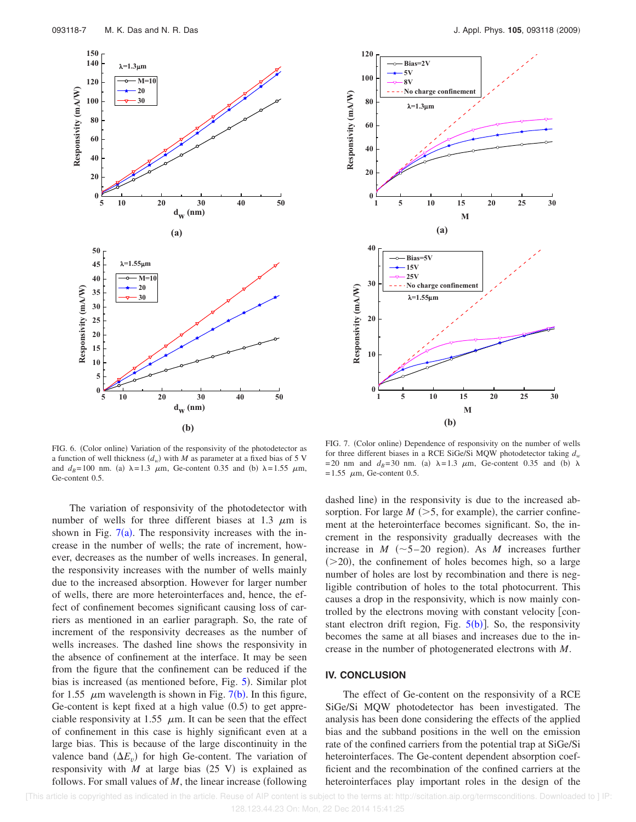



FIG. 6. (Color online) Variation of the responsivity of the photodetector as a function of well thickness  $(d_w)$  with *M* as parameter at a fixed bias of 5 V and  $d_B = 100$  nm. (a)  $\lambda = 1.3$   $\mu$ m, Ge-content 0.35 and (b)  $\lambda = 1.55$   $\mu$ m, Ge-content 0.5.

The variation of responsivity of the photodetector with number of wells for three different biases at 1.3  $\mu$ m is shown in Fig.  $7(a)$ . The responsivity increases with the increase in the number of wells; the rate of increment, however, decreases as the number of wells increases. In general, the responsivity increases with the number of wells mainly due to the increased absorption. However for larger number of wells, there are more heterointerfaces and, hence, the effect of confinement becomes significant causing loss of carriers as mentioned in an earlier paragraph. So, the rate of increment of the responsivity decreases as the number of wells increases. The dashed line shows the responsivity in the absence of confinement at the interface. It may be seen from the figure that the confinement can be reduced if the bias is increased (as mentioned before, Fig. 5). Similar plot for 1.55  $\mu$ m wavelength is shown in Fig. 7(b). In this figure, Ge-content is kept fixed at a high value  $(0.5)$  to get appreciable responsivity at 1.55  $\mu$ m. It can be seen that the effect of confinement in this case is highly significant even at a large bias. This is because of the large discontinuity in the valence band  $(\Delta E_v)$  for high Ge-content. The variation of responsivity with  $M$  at large bias  $(25 \text{ V})$  is explained as follows. For small values of  $M$ , the linear increase (following

FIG. 7. (Color online) Dependence of responsivity on the number of wells for three different biases in a RCE SiGe/Si MQW photodetector taking *d<sup>w</sup>*  $= 20$  nm and  $d_B = 30$  nm. (a)  $\lambda = 1.3$   $\mu$ m, Ge-content 0.35 and (b)  $\lambda$  $= 1.55$   $\mu$ m, Ge-content 0.5.

dashed line) in the responsivity is due to the increased absorption. For large  $M$  ( $>$ 5, for example), the carrier confinement at the heterointerface becomes significant. So, the increment in the responsivity gradually decreases with the increase in  $M$  ( $\sim$ 5-20 region). As  $M$  increases further  $(>=20)$ , the confinement of holes becomes high, so a large number of holes are lost by recombination and there is negligible contribution of holes to the total photocurrent. This causes a drop in the responsivity, which is now mainly controlled by the electrons moving with constant velocity [constant electron drift region, Fig.  $5(b)$ ]. So, the responsivity becomes the same at all biases and increases due to the increase in the number of photogenerated electrons with *M*.

### **IV. CONCLUSION**

The effect of Ge-content on the responsivity of a RCE SiGe/Si MQW photodetector has been investigated. The analysis has been done considering the effects of the applied bias and the subband positions in the well on the emission rate of the confined carriers from the potential trap at SiGe/Si heterointerfaces. The Ge-content dependent absorption coefficient and the recombination of the confined carriers at the heterointerfaces play important roles in the design of the